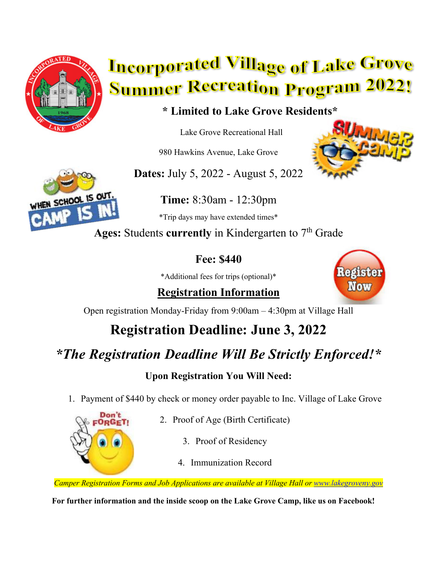

# **Incorporated Village of Lake Grove Summer Recreation Program 2022!**

#### **\* Limited to Lake Grove Residents\***

Lake Grove Recreational Hall

980 Hawkins Avenue, Lake Grove

**Dates:** July 5, 2022 - August 5, 2022





**Time:** 8:30am - 12:30pm \*Trip days may have extended times\*

Ages: Students currently in Kindergarten to 7<sup>th</sup> Grade

#### **Fee: \$440**

\*Additional fees for trips (optional)\*

**Registration Information**



Open registration Monday-Friday from 9:00am – 4:30pm at Village Hall

## **Registration Deadline: June 3, 2022**

### *\*The Registration Deadline Will Be Strictly Enforced!\**

#### **Upon Registration You Will Need:**

1. Payment of \$440 by check or money order payable to Inc. Village of Lake Grove



- 2. Proof of Age (Birth Certificate)
	- 3. Proof of Residency
	- 4. Immunization Record

*Camper Registration Forms and Job Applications are available at Village Hall or www.lakegroveny.gov*

**For further information and the inside scoop on the Lake Grove Camp, like us on Facebook!**